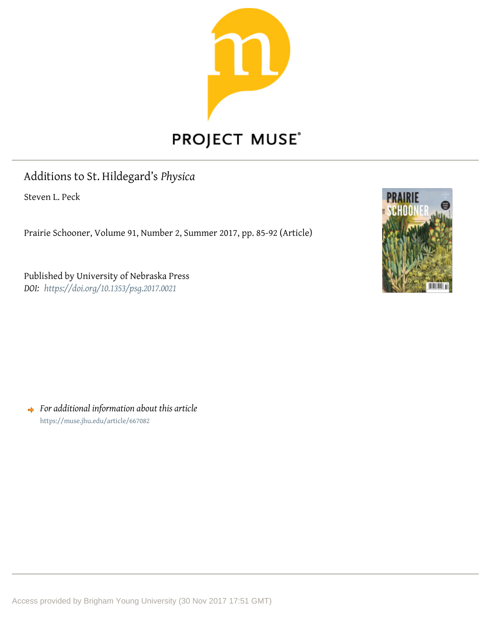

# Additions to St. Hildegard's *Physica*

Steven L. Peck

Prairie Schooner, Volume 91, Number 2, Summer 2017, pp. 85-92 (Article)

Published by University of Nebraska Press *DOI: <https://doi.org/10.1353/psg.2017.0021>*



*For additional information about this article* <https://muse.jhu.edu/article/667082>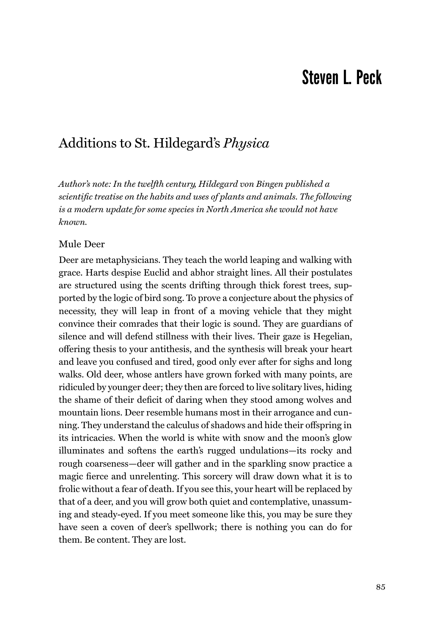## Steven L. Peck

### Additions to St. Hildegard's *Physica*

*Author's note: In the twelfth century, Hildegard von Bingen published a scientific treatise on the habits and uses of plants and animals. The following is a modern update for some species in North America she would not have known.*

#### Mule Deer

Deer are metaphysicians. They teach the world leaping and walking with grace. Harts despise Euclid and abhor straight lines. All their postulates are structured using the scents drifting through thick forest trees, supported by the logic of bird song. To prove a conjecture about the physics of necessity, they will leap in front of a moving vehicle that they might convince their comrades that their logic is sound. They are guardians of silence and will defend stillness with their lives. Their gaze is Hegelian, o√ering thesis to your antithesis, and the synthesis will break your heart and leave you confused and tired, good only ever after for sighs and long walks. Old deer, whose antlers have grown forked with many points, are ridiculed by younger deer; they then are forced to live solitary lives, hiding the shame of their deficit of daring when they stood among wolves and mountain lions. Deer resemble humans most in their arrogance and cunning. They understand the calculus of shadows and hide their offspring in its intricacies. When the world is white with snow and the moon's glow illuminates and softens the earth's rugged undulations—its rocky and rough coarseness—deer will gather and in the sparkling snow practice a magic fierce and unrelenting. This sorcery will draw down what it is to frolic without a fear of death. If you see this, your heart will be replaced by that of a deer, and you will grow both quiet and contemplative, unassuming and steady-eyed. If you meet someone like this, you may be sure they have seen a coven of deer's spellwork; there is nothing you can do for them. Be content. They are lost.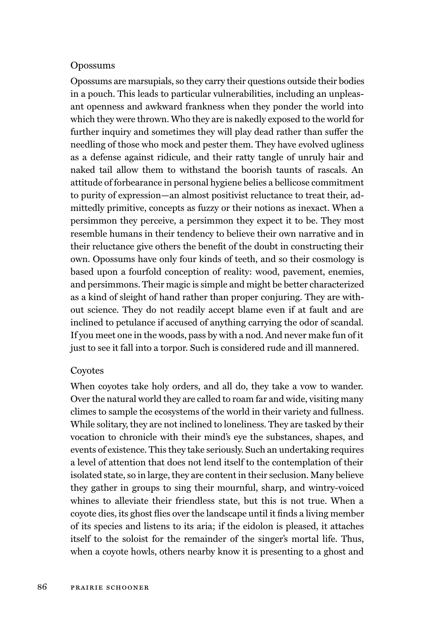#### Opossums

Opossums are marsupials, so they carry their questions outside their bodies in a pouch. This leads to particular vulnerabilities, including an unpleasant openness and awkward frankness when they ponder the world into which they were thrown. Who they are is nakedly exposed to the world for further inquiry and sometimes they will play dead rather than suffer the needling of those who mock and pester them. They have evolved ugliness as a defense against ridicule, and their ratty tangle of unruly hair and naked tail allow them to withstand the boorish taunts of rascals. An attitude of forbearance in personal hygiene belies a bellicose commitment to purity of expression—an almost positivist reluctance to treat their, admittedly primitive, concepts as fuzzy or their notions as inexact. When a persimmon they perceive, a persimmon they expect it to be. They most resemble humans in their tendency to believe their own narrative and in their reluctance give others the benefit of the doubt in constructing their own. Opossums have only four kinds of teeth, and so their cosmology is based upon a fourfold conception of reality: wood, pavement, enemies, and persimmons. Their magic is simple and might be better characterized as a kind of sleight of hand rather than proper conjuring. They are without science. They do not readily accept blame even if at fault and are inclined to petulance if accused of anything carrying the odor of scandal. If you meet one in the woods, pass by with a nod. And never make fun of it just to see it fall into a torpor. Such is considered rude and ill mannered.

#### Coyotes

When coyotes take holy orders, and all do, they take a vow to wander. Over the natural world they are called to roam far and wide, visiting many climes to sample the ecosystems of the world in their variety and fullness. While solitary, they are not inclined to loneliness. They are tasked by their vocation to chronicle with their mind's eye the substances, shapes, and events of existence. This they take seriously. Such an undertaking requires a level of attention that does not lend itself to the contemplation of their isolated state, so in large, they are content in their seclusion. Many believe they gather in groups to sing their mournful, sharp, and wintry-voiced whines to alleviate their friendless state, but this is not true. When a coyote dies, its ghost flies over the landscape until it finds a living member of its species and listens to its aria; if the eidolon is pleased, it attaches itself to the soloist for the remainder of the singer's mortal life. Thus, when a coyote howls, others nearby know it is presenting to a ghost and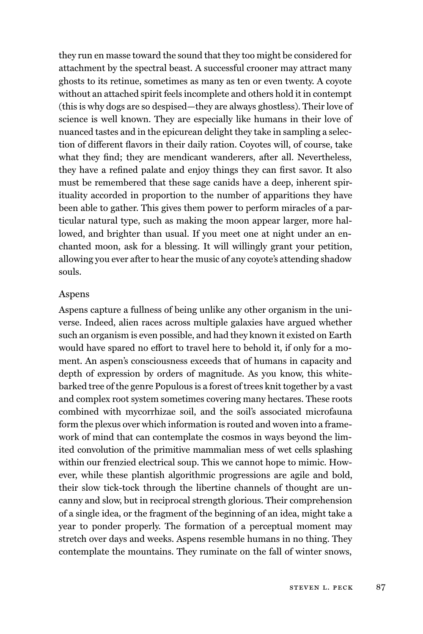they run en masse toward the sound that they too might be considered for attachment by the spectral beast. A successful crooner may attract many ghosts to its retinue, sometimes as many as ten or even twenty. A coyote without an attached spirit feels incomplete and others hold it in contempt (this is why dogs are so despised—they are always ghostless). Their love of science is well known. They are especially like humans in their love of nuanced tastes and in the epicurean delight they take in sampling a selection of different flavors in their daily ration. Coyotes will, of course, take what they find; they are mendicant wanderers, after all. Nevertheless, they have a refined palate and enjoy things they can first savor. It also must be remembered that these sage canids have a deep, inherent spirituality accorded in proportion to the number of apparitions they have been able to gather. This gives them power to perform miracles of a particular natural type, such as making the moon appear larger, more hallowed, and brighter than usual. If you meet one at night under an enchanted moon, ask for a blessing. It will willingly grant your petition, allowing you ever after to hear the music of any coyote's attending shadow souls.

#### Aspens

Aspens capture a fullness of being unlike any other organism in the universe. Indeed, alien races across multiple galaxies have argued whether such an organism is even possible, and had they known it existed on Earth would have spared no effort to travel here to behold it, if only for a moment. An aspen's consciousness exceeds that of humans in capacity and depth of expression by orders of magnitude. As you know, this whitebarked tree of the genre Populous is a forest of trees knit together by a vast and complex root system sometimes covering many hectares. These roots combined with mycorrhizae soil, and the soil's associated microfauna form the plexus over which information is routed and woven into a framework of mind that can contemplate the cosmos in ways beyond the limited convolution of the primitive mammalian mess of wet cells splashing within our frenzied electrical soup. This we cannot hope to mimic. However, while these plantish algorithmic progressions are agile and bold, their slow tick-tock through the libertine channels of thought are uncanny and slow, but in reciprocal strength glorious. Their comprehension of a single idea, or the fragment of the beginning of an idea, might take a year to ponder properly. The formation of a perceptual moment may stretch over days and weeks. Aspens resemble humans in no thing. They contemplate the mountains. They ruminate on the fall of winter snows,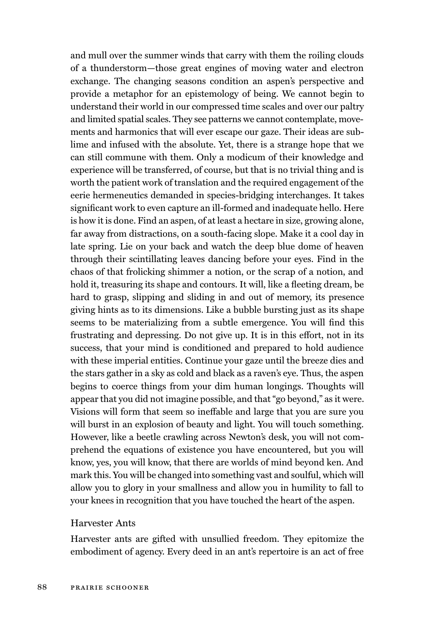and mull over the summer winds that carry with them the roiling clouds of a thunderstorm—those great engines of moving water and electron exchange. The changing seasons condition an aspen's perspective and provide a metaphor for an epistemology of being. We cannot begin to understand their world in our compressed time scales and over our paltry and limited spatial scales. They see patterns we cannot contemplate, movements and harmonics that will ever escape our gaze. Their ideas are sublime and infused with the absolute. Yet, there is a strange hope that we can still commune with them. Only a modicum of their knowledge and experience will be transferred, of course, but that is no trivial thing and is worth the patient work of translation and the required engagement of the eerie hermeneutics demanded in species-bridging interchanges. It takes significant work to even capture an ill-formed and inadequate hello. Here is how it is done. Find an aspen, of at least a hectare in size, growing alone, far away from distractions, on a south-facing slope. Make it a cool day in late spring. Lie on your back and watch the deep blue dome of heaven through their scintillating leaves dancing before your eyes. Find in the chaos of that frolicking shimmer a notion, or the scrap of a notion, and hold it, treasuring its shape and contours. It will, like a fleeting dream, be hard to grasp, slipping and sliding in and out of memory, its presence giving hints as to its dimensions. Like a bubble bursting just as its shape seems to be materializing from a subtle emergence. You will find this frustrating and depressing. Do not give up. It is in this effort, not in its success, that your mind is conditioned and prepared to hold audience with these imperial entities. Continue your gaze until the breeze dies and the stars gather in a sky as cold and black as a raven's eye. Thus, the aspen begins to coerce things from your dim human longings. Thoughts will appear that you did not imagine possible, and that "go beyond," as it were. Visions will form that seem so ineffable and large that you are sure you will burst in an explosion of beauty and light. You will touch something. However, like a beetle crawling across Newton's desk, you will not comprehend the equations of existence you have encountered, but you will know, yes, you will know, that there are worlds of mind beyond ken. And mark this. You will be changed into something vast and soulful, which will allow you to glory in your smallness and allow you in humility to fall to your knees in recognition that you have touched the heart of the aspen.

#### Harvester Ants

Harvester ants are gifted with unsullied freedom. They epitomize the embodiment of agency. Every deed in an ant's repertoire is an act of free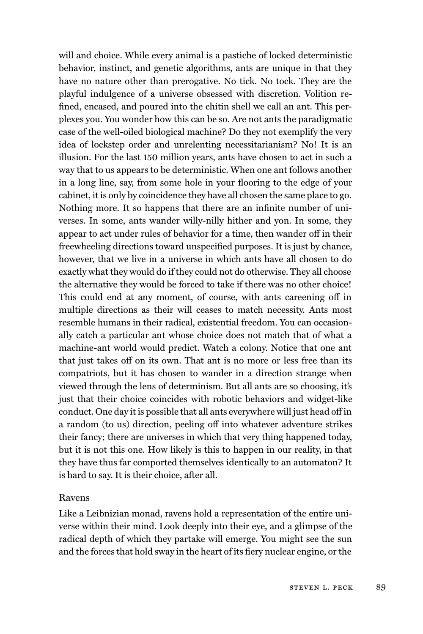will and choice. While every animal is a pastiche of locked deterministic behavior, instinct, and genetic algorithms, ants are unique in that they have no nature other than prerogative. No tick. No tock. They are the playful indulgence of a universe obsessed with discretion. Volition refined, encased, and poured into the chitin shell we call an ant. This perplexes you. You wonder how this can be so. Are not ants the paradigmatic case of the well-oiled biological machine? Do they not exemplify the very idea of lockstep order and unrelenting necessitarianism? No! It is an illusion. For the last 150 million years, ants have chosen to act in such a way that to us appears to be deterministic. When one ant follows another in a long line, say, from some hole in your flooring to the edge of your cabinet, it is only by coincidence they have all chosen the same place to go. Nothing more. It so happens that there are an infinite number of universes. In some, ants wander willy-nilly hither and yon. In some, they appear to act under rules of behavior for a time, then wander off in their freewheeling directions toward unspecified purposes. It is just by chance, however, that we live in a universe in which ants have all chosen to do exactly what they would do if they could not do otherwise. They all choose the alternative they would be forced to take if there was no other choice! This could end at any moment, of course, with ants careening off in multiple directions as their will ceases to match necessity. Ants most resemble humans in their radical, existential freedom. You can occasionally catch a particular ant whose choice does not match that of what a machine-ant world would predict. Watch a colony. Notice that one ant that just takes off on its own. That ant is no more or less free than its compatriots, but it has chosen to wander in a direction strange when viewed through the lens of determinism. But all ants are so choosing, it's just that their choice coincides with robotic behaviors and widget-like conduct. One day it is possible that all ants everywhere will just head off in a random (to us) direction, peeling off into whatever adventure strikes their fancy; there are universes in which that very thing happened today, but it is not this one. How likely is this to happen in our reality, in that they have thus far comported themselves identically to an automaton? It is hard to say. It is their choice, after all.

#### Ravens

Like a Leibnizian monad, ravens hold a representation of the entire universe within their mind. Look deeply into their eye, and a glimpse of the radical depth of which they partake will emerge. You might see the sun and the forces that hold sway in the heart of its fiery nuclear engine, or the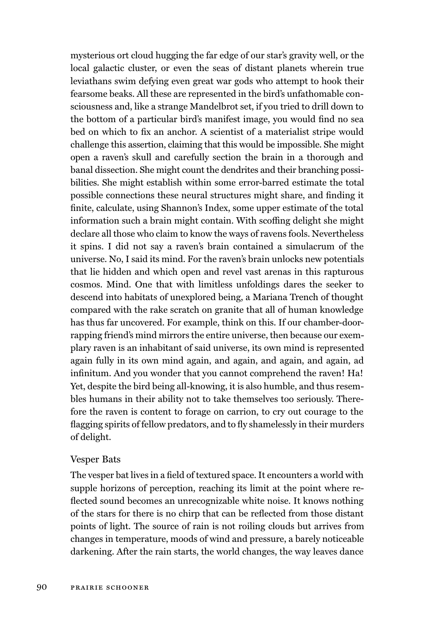mysterious ort cloud hugging the far edge of our star's gravity well, or the local galactic cluster, or even the seas of distant planets wherein true leviathans swim defying even great war gods who attempt to hook their fearsome beaks. All these are represented in the bird's unfathomable consciousness and, like a strange Mandelbrot set, if you tried to drill down to the bottom of a particular bird's manifest image, you would find no sea bed on which to fix an anchor. A scientist of a materialist stripe would challenge this assertion, claiming that this would be impossible. She might open a raven's skull and carefully section the brain in a thorough and banal dissection. She might count the dendrites and their branching possibilities. She might establish within some error-barred estimate the total possible connections these neural structures might share, and finding it finite, calculate, using Shannon's Index, some upper estimate of the total information such a brain might contain. With scoffing delight she might declare all those who claim to know the ways of ravens fools. Nevertheless it spins. I did not say a raven's brain contained a simulacrum of the universe. No, I said its mind. For the raven's brain unlocks new potentials that lie hidden and which open and revel vast arenas in this rapturous cosmos. Mind. One that with limitless unfoldings dares the seeker to descend into habitats of unexplored being, a Mariana Trench of thought compared with the rake scratch on granite that all of human knowledge has thus far uncovered. For example, think on this. If our chamber-doorrapping friend's mind mirrors the entire universe, then because our exemplary raven is an inhabitant of said universe, its own mind is represented again fully in its own mind again, and again, and again, and again, ad infinitum. And you wonder that you cannot comprehend the raven! Ha! Yet, despite the bird being all-knowing, it is also humble, and thus resembles humans in their ability not to take themselves too seriously. Therefore the raven is content to forage on carrion, to cry out courage to the flagging spirits of fellow predators, and to fly shamelessly in their murders of delight.

#### Vesper Bats

The vesper bat lives in a field of textured space. It encounters a world with supple horizons of perception, reaching its limit at the point where reflected sound becomes an unrecognizable white noise. It knows nothing of the stars for there is no chirp that can be reflected from those distant points of light. The source of rain is not roiling clouds but arrives from changes in temperature, moods of wind and pressure, a barely noticeable darkening. After the rain starts, the world changes, the way leaves dance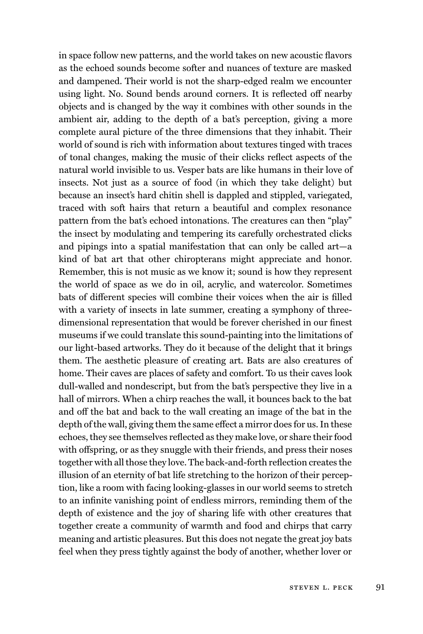in space follow new patterns, and the world takes on new acoustic flavors as the echoed sounds become softer and nuances of texture are masked and dampened. Their world is not the sharp-edged realm we encounter using light. No. Sound bends around corners. It is reflected off nearby objects and is changed by the way it combines with other sounds in the ambient air, adding to the depth of a bat's perception, giving a more complete aural picture of the three dimensions that they inhabit. Their world of sound is rich with information about textures tinged with traces of tonal changes, making the music of their clicks reflect aspects of the natural world invisible to us. Vesper bats are like humans in their love of insects. Not just as a source of food (in which they take delight) but because an insect's hard chitin shell is dappled and stippled, variegated, traced with soft hairs that return a beautiful and complex resonance pattern from the bat's echoed intonations. The creatures can then "play" the insect by modulating and tempering its carefully orchestrated clicks and pipings into a spatial manifestation that can only be called art—a kind of bat art that other chiropterans might appreciate and honor. Remember, this is not music as we know it; sound is how they represent the world of space as we do in oil, acrylic, and watercolor. Sometimes bats of different species will combine their voices when the air is filled with a variety of insects in late summer, creating a symphony of threedimensional representation that would be forever cherished in our finest museums if we could translate this sound-painting into the limitations of our light-based artworks. They do it because of the delight that it brings them. The aesthetic pleasure of creating art. Bats are also creatures of home. Their caves are places of safety and comfort. To us their caves look dull-walled and nondescript, but from the bat's perspective they live in a hall of mirrors. When a chirp reaches the wall, it bounces back to the bat and off the bat and back to the wall creating an image of the bat in the depth of the wall, giving them the same effect a mirror does for us. In these echoes, they see themselves reflected as they make love, or share their food with offspring, or as they snuggle with their friends, and press their noses together with all those they love. The back-and-forth reflection creates the illusion of an eternity of bat life stretching to the horizon of their perception, like a room with facing looking-glasses in our world seems to stretch to an infinite vanishing point of endless mirrors, reminding them of the depth of existence and the joy of sharing life with other creatures that together create a community of warmth and food and chirps that carry meaning and artistic pleasures. But this does not negate the great joy bats feel when they press tightly against the body of another, whether lover or